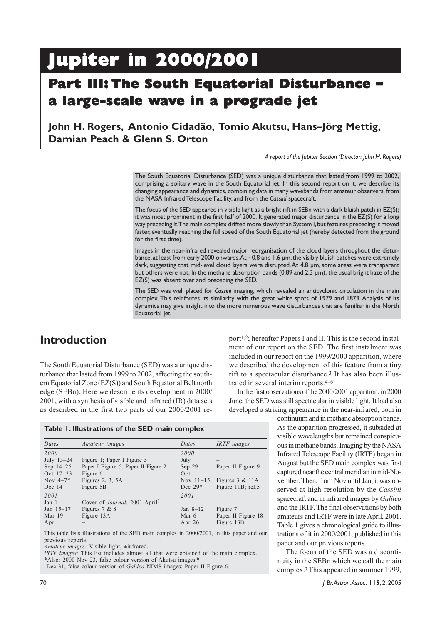# **Jupiter in 2000/2001 Jupiter in 2000/2001**

## **Part III: The South Equatorial Disturbance – torial Disturbance – a large-scale wave in a prograde jet**

### **John H. Rogers, Antonio Cidadão, Tomio Akutsu, Hans–Jörg Mettig, Damian Peach & Glenn S. Orton**

*A report of the Jupiter Section (Director: John H. Rogers)*

The South Equatorial Disturbance (SED) was a unique disturbance that lasted from 1999 to 2002, comprising a solitary wave in the South Equatorial jet. In this second report on it, we describe its changing appearance and dynamics, combining data in many wavebands from amateur observers, from the NASA Infrared Telescope Facility, and from the *Cassini* spacecraft.

The focus of the SED appeared in visible light as a bright rift in SEBn with a dark bluish patch in EZ(S); it was most prominent in the first half of 2000. It generated major disturbance in the EZ(S) for a long way preceding it. The main complex drifted more slowly than System I, but features preceding it moved faster, eventually reaching the full speed of the South Equatorial jet (hereby detected from the ground for the first time).

Images in the near-infrared revealed major reorganisation of the cloud layers throughout the disturbance, at least from early 2000 onwards. At ~0.8 and 1.6 µm, the visibly bluish patches were extremely dark, suggesting that mid-level cloud layers were disrupted. At 4.8 µm, some areas were transparent but others were not. In the methane absorption bands (0.89 and 2.3 µm), the usual bright haze of the EZ(S) was absent over and preceding the SED.

The SED was well placed for *Cassini* imaging, which revealed an anticyclonic circulation in the main complex. This reinforces its similarity with the great white spots of 1979 and 1879. Analysis of its dynamics may give insight into the more numerous wave disturbances that are familiar in the North Equatorial jet.

### **Introduction**

The South Equatorial Disturbance (SED) was a unique disturbance that lasted from 1999 to 2002, affecting the southern Equatorial Zone (EZ(S)) and South Equatorial Belt north edge (SEBn). Here we describe its development in 2000/ 2001, with a synthesis of visible and infrared (IR) data sets as described in the first two parts of our 2000/2001 re-

**Table 1. Illustrations of the SED main complex**

| Dates       | <i>Amateur images</i>                             | Dates       | IRTF images        |
|-------------|---------------------------------------------------|-------------|--------------------|
| 2000        |                                                   | 2000        |                    |
| July 13-24  | Figure 1; Paper I Figure 5                        | July        |                    |
| Sep $14-26$ | Paper I Figure 5; Paper II Figure 2               | Sep 29      | Paper II Figure 9  |
| Oct 17-23   | Figure 6                                          | Oct         |                    |
| Nov $4-7*$  | Figures $2, 3, 5A$                                | Nov $11-15$ | Figures $3 & 11A$  |
| Dec 14      | Figure 5B                                         | Dec $29*$   | Figure 11B; ref.5  |
| 2001        |                                                   | 2001        |                    |
| Jan 1       | Cover of <i>Journal</i> , 2001 April <sup>5</sup> |             |                    |
| Jan $15-17$ | Figures $7 & 8$                                   | Jan $8-12$  | Figure 7           |
| Mar 19      | Figure 13A                                        | Mar 6       | Paper II Figure 18 |
| Apr         |                                                   | Apr $26$    | Figure 13B         |

This table lists illustrations of the SED main complex in 2000/2001, in this paper and our previous reports.

*Amateur images:* Visible light, ±infrared.

*IRTF images:* This list includes almost all that were obtained of the main complex. \*Also: 2000 Nov 23, false colour version of Akutsu images;6

Dec 31, false colour version of *Galileo* NIMS images: Paper II Figure 6.

port1,2; hereafter Papers I and II. This is the second instalment of our report on the SED. The first instalment was included in our report on the 1999/2000 apparition, where we described the development of this feature from a tiny rift to a spectacular disturbance.<sup>3</sup> It has also been illustrated in several interim reports.4–6

In the first observations of the 2000/2001 apparition, in 2000 June, the SED was still spectacular in visible light. It had also developed a striking appearance in the near-infrared, both in

> continuum and in methane absorption bands. As the apparition progressed, it subsided at visible wavelengths but remained conspicuous in methane bands. Imaging by the NASA Infrared Telescope Facility (IRTF) began in August but the SED main complex was first captured near the central meridian in mid-November. Then, from Nov until Jan, it was observed at high resolution by the *Cassini* spacecraft and in infrared images by *Galileo* and the IRTF. The final observations by both amateurs and IRTF were in late April, 2001. Table 1 gives a chronological guide to illustrations of it in 2000/2001, published in this paper and our previous reports.

> The focus of the SED was a discontinuity in the SEBn which we call the main complex.3 This appeared in summer 1999,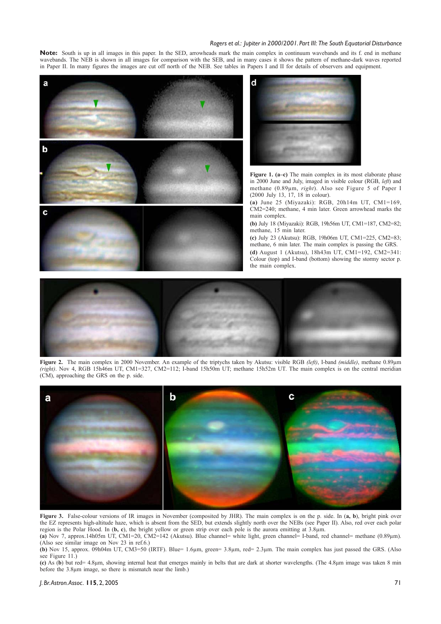Note: South is up in all images in this paper. In the SED, arrowheads mark the main complex in continuum wavebands and its f. end in methane wavebands. The NEB is shown in all images for comparison with the SEB, and in many cases it shows the pattern of methane-dark waves reported in Paper II. In many figures the images are cut off north of the NEB. See tables in Papers I and II for details of observers and equipment.





**Figure 1. (a–c)** The main complex in its most elaborate phase in 2000 June and July, imaged in visible colour (RGB, *left*) and methane (0.89µm, *right*). Also see Figure 5 of Paper I (2000 July 13, 17, 18 in colour).

**(a)** June 25 (Miyazaki): RGB, 20h14m UT, CM1=169, CM2=240; methane, 4 min later. Green arrowhead marks the main complex.

**(b)** July 18 (Miyazaki): RGB, 19h56m UT, CM1=187, CM2=82; methane, 15 min later.

**(c)** July 23 (Akutsu): RGB, 19h06m UT, CM1=225, CM2=83; methane, 6 min later. The main complex is passing the GRS. **(d)** August 1 (Akutsu), 18h43m UT, CM1=192, CM2=341: Colour (top) and I-band (bottom) showing the stormy sector p. the main complex.



**Figure 2.** The main complex in 2000 November. An example of the triptychs taken by Akutsu: visible RGB *(left)*, I-band *(middle)*, methane 0.89µm *(right)*. Nov 4, RGB 15h46m UT, CM1=327, CM2=112; I-band 15h50m UT; methane 15h52m UT. The main complex is on the central meridian (CM), approaching the GRS on the p. side.



**Figure 3.** False-colour versions of IR images in November (composited by JHR). The main complex is on the p. side. In (**a, b**), bright pink over the EZ represents high-altitude haze, which is absent from the SED, but extends slightly north over the NEBs (see Paper II). Also, red over each polar region is the Polar Hood. In (**b, c**), the bright yellow or green strip over each pole is the aurora emitting at 3.8µm.

**(a)** Nov 7, approx.14h05m UT, CM1=20, CM2=142 (Akutsu). Blue channel= white light, green channel= I-band, red channel= methane (0.89µm). (Also see similar image on Nov 23 in ref.6.)

**(b)** Nov 15, approx. 09h04m UT, CM3=50 (IRTF). Blue= 1.6µm, green= 3.8µm, red= 2.3µm. The main complex has just passed the GRS. (Also see Figure  $(11)$ 

**(c)** As (**b**) but red= 4.8µm, showing internal heat that emerges mainly in belts that are dark at shorter wavelengths. (The 4.8µm image was taken 8 min before the 3.8µm image, so there is mismatch near the limb.)

#### *J. Br. Astron. Assoc.* **115**, 2, 2005 71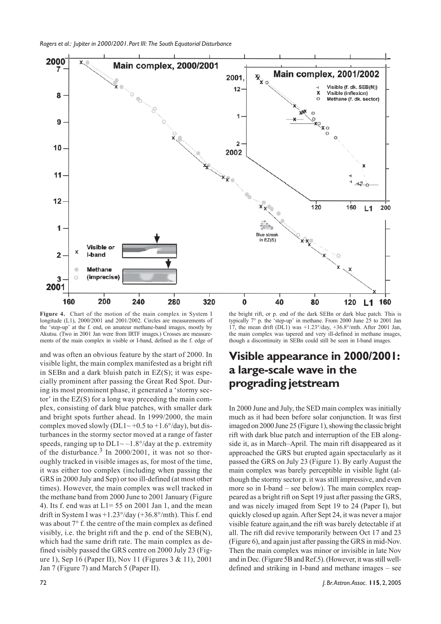

**Figure 4.** Chart of the motion of the main complex in System I longitude (L1), 2000/2001 and 2001/2002. Circles are measurements of the 'step-up' at the f. end, on amateur methane-band images, mostly by Akutsu. (Two in 2001 Jan were from IRTF images.) Crosses are measurements of the main complex in visible or I-band, defined as the f. edge of

and was often an obvious feature by the start of 2000. In visible light, the main complex manifested as a bright rift in SEBn and a dark bluish patch in  $EZ(S)$ ; it was especially prominent after passing the Great Red Spot. During its most prominent phase, it generated a 'stormy sector' in the EZ(S) for a long way preceding the main complex, consisting of dark blue patches, with smaller dark and bright spots further ahead. In 1999/2000, the main complex moved slowly (DL1~ +0.5 to +1.6 $\degree$ /day), but disturbances in the stormy sector moved at a range of faster speeds, ranging up to  $DL1 \sim -1.8^{\circ}/\text{day}$  at the p. extremity of the disturbance. $3 \text{ In } 2000/2001$ , it was not so thoroughly tracked in visible images as, for most of the time, it was either too complex (including when passing the GRS in 2000 July and Sep) or too ill-defined (at most other times). However, the main complex was well tracked in the methane band from 2000 June to 2001 January (Figure 4). Its f. end was at  $L1 = 55$  on 2001 Jan 1, and the mean drift in System I was +1.23°/day (+36.8°/mth). This f. end was about 7° f. the centre of the main complex as defined visibly, i.e. the bright rift and the p. end of the SEB(N), which had the same drift rate. The main complex as defined visibly passed the GRS centre on 2000 July 23 (Figure 1), Sep 16 (Paper II), Nov 11 (Figures 3 & 11), 2001 Jan 7 (Figure 7) and March 5 (Paper II).

the bright rift, or p. end of the dark SEBn or dark blue patch. This is typically 7° p. the 'step-up' in methane. From 2000 June 25 to 2001 Jan 17, the mean drift  $(DL1)$  was +1.23°/day, +36.8°/mth. After 2001 Jan, the main complex was tapered and very ill-defined in methane images, though a discontinuity in SEBn could still be seen in I-band images.

### **Visible appearance in 2000/2001: a large-scale wave in the prograding jetstream**

In 2000 June and July, the SED main complex was initially much as it had been before solar conjunction. It was first imaged on 2000 June 25 (Figure 1), showing the classic bright rift with dark blue patch and interruption of the EB alongside it, as in March–April. The main rift disappeared as it approached the GRS but erupted again spectacularly as it passed the GRS on July 23 (Figure 1). By early August the main complex was barely perceptible in visible light (although the stormy sector p. it was still impressive, and even more so in I-band – see below). The main complex reappeared as a bright rift on Sept 19 just after passing the GRS, and was nicely imaged from Sept 19 to 24 (Paper I), but quickly closed up again. After Sept 24, it was never a major visible feature again,and the rift was barely detectable if at all. The rift did revive temporarily between Oct 17 and 23 (Figure 6), and again just after passing the GRS in mid-Nov. Then the main complex was minor or invisible in late Nov and in Dec. (Figure 5B and Ref.5). (However, it was still welldefined and striking in I-band and methane images – see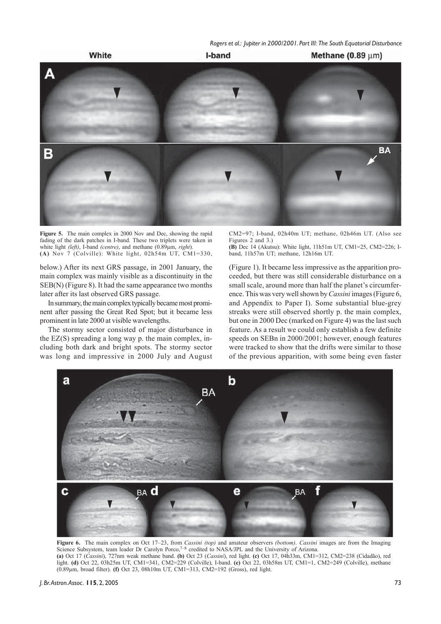

**Figure 5.** The main complex in 2000 Nov and Dec, showing the rapid fading of the dark patches in I-band. These two triplets were taken in white light *(left)*, I-band *(centre)*, and methane (0.89µm, *right*). **(A)** Nov 7 (Colville): White light, 02h54m UT, CM1=330,

below.) After its next GRS passage, in 2001 January, the main complex was mainly visible as a discontinuity in the SEB(N) (Figure 8). It had the same appearance two months later after its last observed GRS passage.

In summary, the main complex typically became most prominent after passing the Great Red Spot; but it became less prominent in late 2000 at visible wavelengths.

The stormy sector consisted of major disturbance in the  $EZ(S)$  spreading a long way p. the main complex, including both dark and bright spots. The stormy sector was long and impressive in 2000 July and August CM2=97; I-band, 02h40m UT; methane, 02h46m UT. (Also see Figures 2 and 3.)

**(B)** Dec 14 (Akutsu): White light, 11h51m UT, CM1=25, CM2=226; Iband, 11h57m UT; methane, 12h16m UT.

(Figure 1). It became less impressive as the apparition proceeded, but there was still considerable disturbance on a small scale, around more than half the planet's circumference. This was very well shown by *Cassini* images (Figure 6, and Appendix to Paper I). Some substantial blue-grey streaks were still observed shortly p. the main complex, but one in 2000 Dec (marked on Figure 4) was the last such feature. As a result we could only establish a few definite speeds on SEBn in 2000/2001; however, enough features were tracked to show that the drifts were similar to those of the previous apparition, with some being even faster



**Figure 6.** The main complex on Oct 17–23, from *Cassini (top)* and amateur observers *(bottom)*. *Cassini* images are from the Imaging Science Subsystem, team leader Dr Carolyn Porco, $7^{-8}$  credited to NASA/JPL and the University of Arizona. **(a)** Oct 17 (*Cassini*), 727nm weak methane band. **(b)** Oct 23 (*Cassini*), red light. **(c)** Oct 17, 04h33m, CM1=312, CM2=238 (Cidadão), red

light. **(d)** Oct 22, 03h25m UT, CM1=341, CM2=229 (Colville), I-band. **(e)** Oct 22, 03h58m UT, CM1=1, CM2=249 (Colville), methane (0.89µm, broad filter). **(f)** Oct 23, 08h10m UT, CM1=313, CM2=192 (Gross), red light.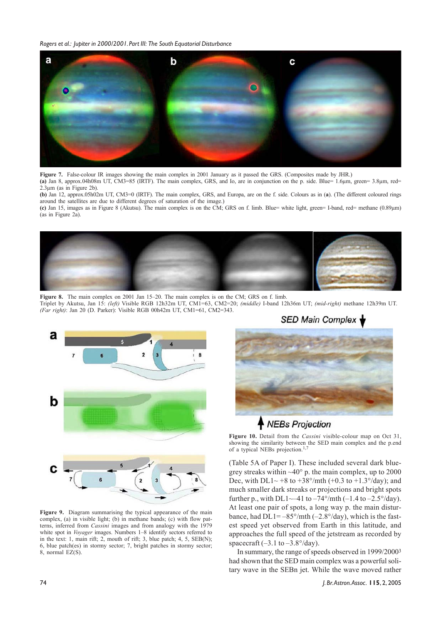

**Figure 7.** False-colour IR images showing the main complex in 2001 January as it passed the GRS. (Composites made by JHR.)

**(a)** Jan 8, approx.04h08m UT, CM3=85 (IRTF). The main complex, GRS, and Io, are in conjunction on the p. side. Blue= 1.6µm, green= 3.8µm, red= 2.3µm (as in Figure 2b).

**(b)** Jan 12, approx.05h02m UT, CM3=0 (IRTF). The main complex, GRS, and Europa, are on the f. side. Colours as in (**a**). (The different coloured rings around the satellites are due to different degrees of saturation of the image.)

**(c)** Jan 15, images as in Figure 8 (Akutsu). The main complex is on the CM; GRS on f. limb. Blue= white light, green= I-band, red= methane (0.89µm) (as in Figure 2a).



**Figure 8.** The main complex on 2001 Jan 15–20. The main complex is on the CM; GRS on f. limb. Triplet by Akutsu, Jan 15: *(left)* Visible RGB 12h32m UT, CM1=63, CM2=20; *(middle)* I-band 12h36m UT; *(mid-right)* methane 12h39m UT. *(Far right)*: Jan 20 (D. Parker): Visible RGB 00h42m UT, CM1=61, CM2=343.



**Figure 9.** Diagram summarising the typical appearance of the main complex, (a) in visible light; (b) in methane bands; (c) with flow patterns, inferred from *Cassini* images and from analogy with the 1979 white spot in *Voyager* images. Numbers 1–8 identify sectors referred to in the text: 1, main rift; 2, mouth of rift; 3, blue patch; 4, 5, SEB(N); 6, blue patch(es) in stormy sector; 7, bright patches in stormy sector; 8, normal EZ(S).

**SED Main Complex** 

### NEBs Projection

**Figure 10.** Detail from the *Cassini* visible-colour map on Oct 31, showing the similarity between the SED main complex and the p.end of a typical NEBs projection.<sup>1,7</sup>

(Table 5A of Paper I). These included several dark bluegrey streaks within  $~40^{\circ}$  p. the main complex, up to 2000 Dec, with DL1~ +8 to +38°/mth (+0.3 to +1.3°/day); and much smaller dark streaks or projections and bright spots further p., with DL1 $\sim$ -41 to  $-74^{\circ}/$ mth (-1.4 to  $-2.5^{\circ}/day$ ). At least one pair of spots, a long way p. the main disturbance, had  $DL1 = -85^{\circ}/m\text{th}$  (-2.8°/day), which is the fastest speed yet observed from Earth in this latitude, and approaches the full speed of the jetstream as recorded by spacecraft  $(-3.1 \text{ to } -3.8\degree/\text{day})$ .

In summary, the range of speeds observed in 1999/20003 had shown that the SED main complex was a powerful solitary wave in the SEBn jet. While the wave moved rather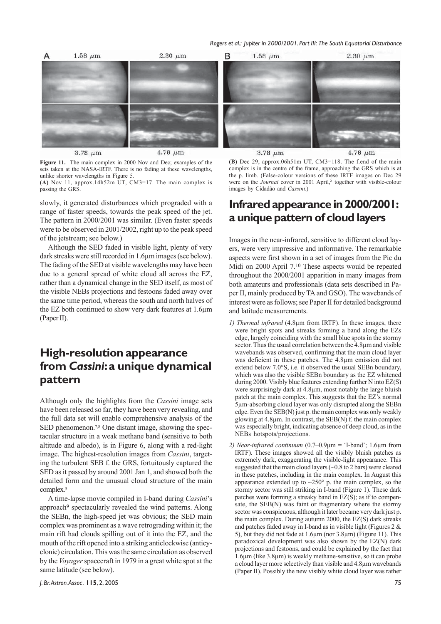

**Figure 11.** The main complex in 2000 Nov and Dec; examples of the sets taken at the NASA-IRTF. There is no fading at these wavelengths, unlike shorter wavelengths in Figure 5.

**(A)** Nov 11, approx.14h52m UT, CM3=17. The main complex is passing the GRS.

slowly, it generated disturbances which prograded with a range of faster speeds, towards the peak speed of the jet. The pattern in 2000/2001 was similar. (Even faster speeds were to be observed in 2001/2002, right up to the peak speed of the jetstream; see below.)

Although the SED faded in visible light, plenty of very dark streaks were still recorded in 1.6µm images (see below). The fading of the SED at visible wavelengths may have been due to a general spread of white cloud all across the EZ, rather than a dynamical change in the SED itself, as most of the visible NEBs projections and festoons faded away over the same time period, whereas the south and north halves of the EZ both continued to show very dark features at 1.6µm (Paper II).

### **High-resolution appearance from** *Cassini***: a unique dynamical pattern**

Although only the highlights from the *Cassini* image sets have been released so far, they have been very revealing, and the full data set will enable comprehensive analysis of the SED phenomenon.<sup>7,8</sup> One distant image, showing the spectacular structure in a weak methane band (sensitive to both altitude and albedo), is in Figure 6, along with a red-light image. The highest-resolution images from *Cassini*, targeting the turbulent SEB f. the GRS, fortuitously captured the SED as it passed by around 2001 Jan 1, and showed both the detailed form and the unusual cloud structure of the main complex.<sup>5</sup>

A time-lapse movie compiled in I-band during *Cassini*'s approach9 spectacularly revealed the wind patterns. Along the SEBn, the high-speed jet was obvious; the SED main complex was prominent as a wave retrograding within it; the main rift had clouds spilling out of it into the EZ, and the mouth of the rift opened into a striking anticlockwise (anticyclonic) circulation. This was the same circulation as observed by the *Voyager* spacecraft in 1979 in a great white spot at the same latitude (see below).



**(B)** Dec 29, approx.06h51m UT, CM3=118. The f.end of the main complex is in the centre of the frame, approaching the GRS which is at the p. limb. (False-colour versions of these IRTF images on Dec 29 were on the *Journal* cover in 2001 April,<sup>5</sup> together with visible-colour images by Cidadão and *Cassini*.)

### **Infrared appearance in 2000/2001: a unique pattern of cloud layers**

Images in the near-infrared, sensitive to different cloud layers, were very impressive and informative. The remarkable aspects were first shown in a set of images from the Pic du Midi on 2000 April 7.10 These aspects would be repeated throughout the 2000/2001 apparition in many images from both amateurs and professionals (data sets described in Paper II, mainly produced by TA and GSO). The wavebands of interest were as follows; see Paper II for detailed background and latitude measurements.

- *1) Thermal infrared* (4.8µm from IRTF). In these images, there were bright spots and streaks forming a band along the EZs edge, largely coinciding with the small blue spots in the stormy sector. Thus the usual correlation between the 4.8µm and visible wavebands was observed, confirming that the main cloud layer was deficient in these patches. The 4.8µm emission did not extend below 7.0°S, i.e. it observed the usual SEBn boundary, which was also the visible SEBn boundary as the EZ whitened during 2000. Visibly blue features extending further N into EZ(S) were surprisingly dark at 4.8µm, most notably the large bluish patch at the main complex. This suggests that the EZ's normal 5µm-absorbing cloud layer was only disrupted along the SEBn edge. Even the SEB(N) just p. the main complex was only weakly glowing at 4.8µm. In contrast, the SEB(N) f. the main complex was especially bright, indicating absence of deep cloud, as in the NEBs hotspots/projections.
- *2) Near-infrared continuum* (0.7–0.9µm = 'I-band'; 1.6µm from IRTF). These images showed all the visibly bluish patches as extremely dark, exaggerating the visible-light appearance. This suggested that the main cloud layers (~0.8 to 2 bars) were cleared in these patches, including in the main complex. In August this appearance extended up to  $\sim$ 250 $^{\circ}$  p. the main complex, so the stormy sector was still striking in I-band (Figure 1). These dark patches were forming a streaky band in EZ(S); as if to compensate, the SEB(N) was faint or fragmentary where the stormy sector was conspicuous, although it later became very dark just p. the main complex. During autumn 2000, the EZ(S) dark streaks and patches faded away in I-band as in visible light (Figures  $2 \&$ 5), but they did not fade at 1.6µm (nor 3.8µm) (Figure 11). This paradoxical development was also shown by the EZ(N) dark projections and festoons, and could be explained by the fact that 1.6µm (like 3.8µm) is weakly methane-sensitive, so it can probe a cloud layer more selectively than visible and 4.8µm wavebands (Paper II). Possibly the new visibly white cloud layer was rather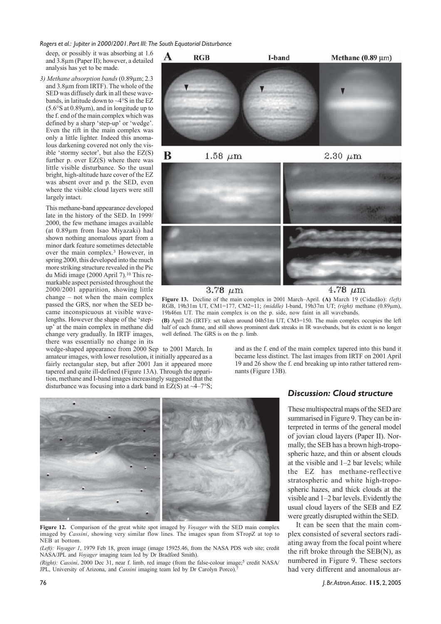deep, or possibly it was absorbing at 1.6 and 3.8µm (Paper II); however, a detailed analysis has yet to be made.

*3) Methane absorption bands* (0.89µm; 2.3 and 3.8µm from IRTF). The whole of the SED was diffusely dark in all these wavebands, in latitude down to ~4°S in the EZ (5.6°S at 0.89µm), and in longitude up to the f. end of the main complex which was defined by a sharp 'step-up' or 'wedge'. Even the rift in the main complex was only a little lighter. Indeed this anomalous darkening covered not only the visible 'stormy sector', but also the EZ(S) further p. over  $EZ(S)$  where there was little visible disturbance. So the usual bright, high-altitude haze cover of the EZ was absent over and p. the SED, even where the visible cloud layers were still largely intact.

This methane-band appearance developed late in the history of the SED. In 1999/ 2000, the few methane images available (at 0.89µm from Isao Miyazaki) had shown nothing anomalous apart from a minor dark feature sometimes detectable over the main complex.3 However, in spring 2000, this developed into the much more striking structure revealed in the Pic du Midi image (2000 April 7).10 This remarkable aspect persisted throughout the 2000/2001 apparition, showing little change – not when the main complex passed the GRS, nor when the SED became inconspicuous at visible wavelengths. However the shape of the 'stepup' at the main complex in methane did change very gradually. In IRTF images, there was essentially no change in its

wedge-shaped appearance from 2000 Sep to 2001 March. In amateur images, with lower resolution, it initially appeared as a fairly rectangular step, but after 2001 Jan it appeared more tapered and quite ill-defined (Figure 13A). Through the apparition, methane and I-band images increasingly suggested that the disturbance was focusing into a dark band in EZ(S) at  $\sim$ 4–7°S;

 $1.58~\mu{\rm m}$ 2.30  $\mu$ m

**I-hand** 

 $3.78 \ \mu m$ 

 $RGB$ 

 $\overline{\mathbf{v}}$ 

B

 $4.78 \ \mu m$ 

Methane  $(0.89 \,\mathrm{\upmu m})$ 

۷

**Figure 13.** Decline of the main complex in 2001 March–April. **(A)** March 19 (Cidadão): *(left)* RGB, 19h31m UT, CM1=177, CM2=11; *(middle)* I-band, 19h37m UT; *(right)* methane (0.89µm), 19h46m UT. The main complex is on the p. side, now faint in all wavebands.

**(B)** April 26 (IRTF): set taken around 04h51m UT, CM3=150. The main complex occupies the left half of each frame, and still shows prominent dark streaks in IR wavebands, but its extent is no longer well defined. The GRS is on the p. limb.

> and as the f. end of the main complex tapered into this band it became less distinct. The last images from IRTF on 2001 April 19 and 26 show the f. end breaking up into rather tattered remnants (Figure 13B).



**Figure 12.** Comparison of the great white spot imaged by *Voyager* with the SED main complex imaged by *Cassini*, showing very similar flow lines. The images span from STropZ at top to NEB at bottom.

*(Left): Voyager 1*, 1979 Feb 18, green image (image 15925.46, from the NASA PDS web site; credit NASA/JPL and *Voyager* imaging team led by Dr Bradford Smith).

*(Right): Cassini*, 2000 Dec 31, near f. limb, red image (from the false-colour image;<sup>5</sup> credit NASA/ JPL, University of Arizona, and *Cassini* imaging team led by Dr Carolyn Porco).

#### *Discussion: Cloud structure*

These multispectral maps of the SED are summarised in Figure 9. They can be interpreted in terms of the general model of jovian cloud layers (Paper II). Normally, the SEB has a brown high-tropospheric haze, and thin or absent clouds at the visible and 1–2 bar levels; while the EZ has methane-reflective stratospheric and white high-tropospheric hazes, and thick clouds at the visible and 1–2 bar levels. Evidently the usual cloud layers of the SEB and EZ were greatly disrupted within the SED.

It can be seen that the main complex consisted of several sectors radiating away from the focal point where the rift broke through the SEB(N), as numbered in Figure 9. These sectors had very different and anomalous ar-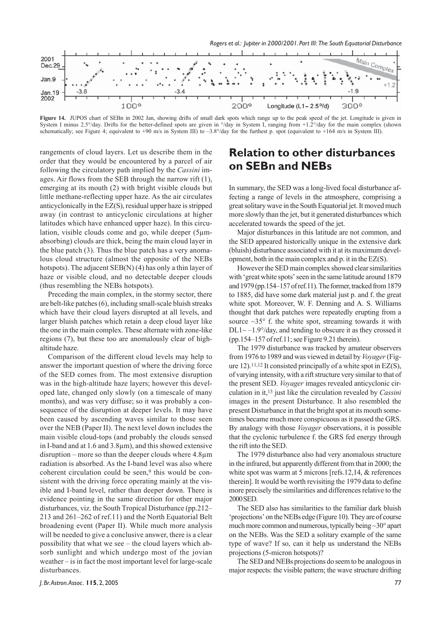

**Figure 14.** JUPOS chart of SEBn in 2002 Jan, showing drifts of small dark spots which range up to the peak speed of the jet. Longitude is given in System I minus 2.5°/day. Drifts for the better-defined spots are given in  $\frac{\partial}{\partial xy}$  in System I, ranging from +1.2°/day for the main complex (shown schematically; see Figure 4; equivalent to +90 m/s in System III) to -3.8°/day for the furthest p. spot (equivalent to +164 m/s in System III).

rangements of cloud layers. Let us describe them in the order that they would be encountered by a parcel of air following the circulatory path implied by the *Cassini* images. Air flows from the SEB through the narrow rift (1), emerging at its mouth (2) with bright visible clouds but little methane-reflecting upper haze. As the air circulates anticyclonically in the EZ(S), residual upper haze is stripped away (in contrast to anticyclonic circulations at higher latitudes which have enhanced upper haze). In this circulation, visible clouds come and go, while deeper (5µmabsorbing) clouds are thick, being the main cloud layer in the blue patch (3). Thus the blue patch has a very anomalous cloud structure (almost the opposite of the NEBs hotspots). The adjacent SEB(N) (4) has only a thin layer of haze or visible cloud, and no detectable deeper clouds (thus resembling the NEBs hotspots).

Preceding the main complex, in the stormy sector, there are belt-like patches (6), including small-scale bluish streaks which have their cloud layers disrupted at all levels, and larger bluish patches which retain a deep cloud layer like the one in the main complex. These alternate with zone-like regions (7), but these too are anomalously clear of highaltitude haze.

Comparison of the different cloud levels may help to answer the important question of where the driving force of the SED comes from. The most extensive disruption was in the high-altitude haze layers; however this developed late, changed only slowly (on a timescale of many months), and was very diffuse; so it was probably a consequence of the disruption at deeper levels. It may have been caused by ascending waves similar to those seen over the NEB (Paper II). The next level down includes the main visible cloud-tops (and probably the clouds sensed in I-band and at 1.6 and 3.8µm), and this showed extensive disruption – more so than the deeper clouds where 4.8µm radiation is absorbed. As the I-band level was also where coherent circulation could be seen,<sup>9</sup> this would be consistent with the driving force operating mainly at the visible and I-band level, rather than deeper down. There is evidence pointing in the same direction for other major disturbances, viz. the South Tropical Disturbance (pp.212– 213 and 261–262 of ref.11) and the North Equatorial Belt broadening event (Paper II). While much more analysis will be needed to give a conclusive answer, there is a clear possibility that what we see – the cloud layers which absorb sunlight and which undergo most of the jovian weather – is in fact the most important level for large-scale disturbances.

### **Relation to other disturbances on SEBn and NEBs**

In summary, the SED was a long-lived focal disturbance affecting a range of levels in the atmosphere, comprising a great solitary wave in the South Equatorial jet. It moved much more slowly than the jet, but it generated disturbances which accelerated towards the speed of the jet.

Major disturbances in this latitude are not common, and the SED appeared historically unique in the extensive dark (bluish) disturbance associated with it at its maximum development, both in the main complex and p. it in the EZ(S).

However the SED main complex showed clear similarities with 'great white spots' seen in the same latitude around 1879 and 1979 (pp.154–157 of ref.11). The former, tracked from 1879 to 1885, did have some dark material just p. and f. the great white spot. Moreover, W. F. Denning and A. S. Williams thought that dark patches were repeatedly erupting from a source  $\sim$ 35 $\degree$  f. the white spot, streaming towards it with  $DL1 \sim -1.9^{\circ}/day$ , and tending to obscure it as they crossed it (pp.154–157 of ref.11; see Figure 9.21 therein).

The 1979 disturbance was tracked by amateur observers from 1976 to 1989 and was viewed in detail by *Voyager* (Figure 12).<sup>11,12</sup> It consisted principally of a white spot in  $EZ(S)$ , of varying intensity, with a rift structure very similar to that of the present SED. *Voyager* images revealed anticyclonic circulation in it,13 just like the circulation revealed by *Cassini* images in the present Disturbance. It also resembled the present Disturbance in that the bright spot at its mouth sometimes became much more conspicuous as it passed the GRS. By analogy with those *Voyager* observations, it is possible that the cyclonic turbulence f. the GRS fed energy through the rift into the SED.

The 1979 disturbance also had very anomalous structure in the infrared, but apparently different from that in 2000; the white spot was warm at 5 microns [refs.12,14, & references therein]. It would be worth revisiting the 1979 data to define more precisely the similarities and differences relative to the 2000 SED.

The SED also has similarities to the familiar dark bluish 'projections' on the NEBs edge (Figure 10). They are of course much more common and numerous, typically being ~30° apart on the NEBs. Was the SED a solitary example of the same type of wave? If so, can it help us understand the NEBs projections (5-micron hotspots)?

The SED and NEBs projections do seem to be analogous in major respects: the visible pattern; the wave structure drifting